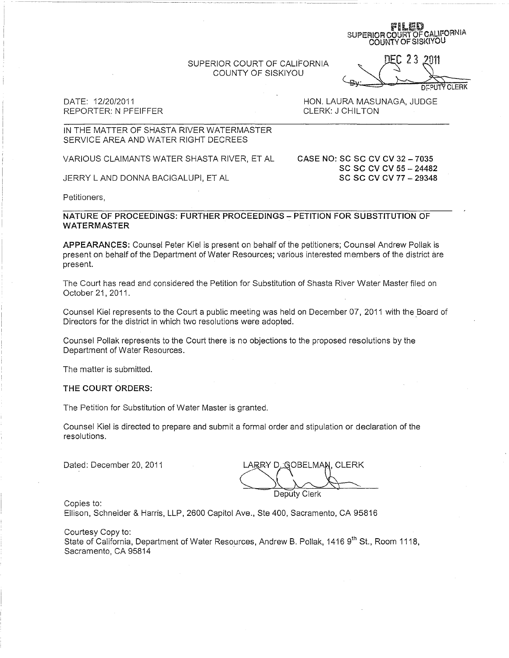SUPERIOR COURT OF CALIFORNIA COUNTY OF SISKIYOU

COUNTY OFSISKIYOU D.EC 23 2011  $DEC$  2 3 2011

FILED<br>SUPERIOR COURT OF CALIFORNIA

DATE: 12/20/2011 REPORTER: N PFEIFFER

HON. LAURA MASUNAGA, JUDGE CLERK: J CHILTON

### IN THE MATTER OF SHASTA RIVER WATERMASTER SERVICE AREA AND WATER RIGHT DECREES

VARIOUS CLAIMANTS WATER SHASTA RIVER, ET AL

JERRY L AND DONNA BACIGALUPI, ET AL

CASE NO: SC SC CV CV 32 - 7035 SC SC CV CV 55 - 24482 SC SC CV CV 77 - 29348

Petitioners,

NATURE OF PROCEEDINGS: FURTHER PROCEEDINGS - PETITION FOR SUBSTITUTION OF WATERMASTER

APPEARANCES: Counsel Peter Kiel is present on behalf of the petitioners; Counsel Andrew Pollak is present on behalf of the Department of Water Resources; various interested members of the district are present.

The Court has read and considered the Petition for Substitution of Shasta River Water Master filed on October 21, 2011.

Counsel Kiel represents to the Court a public meeting was held on December 07,2011 with the Board of Directors for the district in which two resolutions were adopted. .

Counsel Pollak represents to the Court there is no objections to the proposed resolutions by the Department of Water Resources.

The matter is submitted.

#### THE COURT ORDERS:

The Petition for Substitution of Water Master is granted.

Counsel Kiel is directed to prepare and submit a formal order and stipulation or declaration of the resolutions.

Dated: December 20, 2011

LARRY D. GOBELMAN, CLERK Deputy Clerk

Copies to:

Ellison, Schneider & Harris, LLP, 2600 Capitol Ave., Ste 400, Sacramento, CA 95816

Courtesy Copy to:

State of California, Department of Water Resources, Andrew B. Pollak, 1416 9th St., Room 1118, Sacramento, CA 95814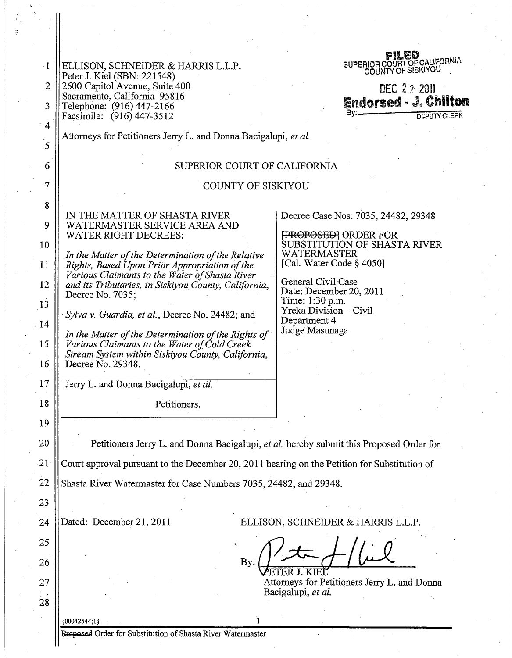| $\cdot 1$                                                   | ELLISON, SCHNEIDER & HARRIS L.L.P.                                                              | FILED<br>SUPERIOR COUNTY OF SISKIYOU                        |
|-------------------------------------------------------------|-------------------------------------------------------------------------------------------------|-------------------------------------------------------------|
|                                                             | Peter J. Kiel (SBN: 221548)                                                                     |                                                             |
| $\overline{2}$                                              | 2600 Capitol Avenue, Suite 400<br>Sacramento, California 95816                                  | DEC 22 2011                                                 |
| 3                                                           | Telephone: (916) 447-2166                                                                       | <b>Endorsed - J. Chilton</b><br>В٧∴                         |
| $\overline{4}$                                              | Facsimile: (916) 447-3512                                                                       | <b>DEPUTY CLERK</b>                                         |
|                                                             | Attorneys for Petitioners Jerry L. and Donna Bacigalupi, et al.                                 |                                                             |
| $\overline{5}$                                              |                                                                                                 |                                                             |
| 6                                                           | SUPERIOR COURT OF CALIFORNIA                                                                    |                                                             |
| 7                                                           | <b>COUNTY OF SISKIYOU</b>                                                                       |                                                             |
|                                                             |                                                                                                 |                                                             |
| 8                                                           | IN THE MATTER OF SHASTA RIVER                                                                   | Decree Case Nos. 7035, 24482, 29348                         |
| 9                                                           | WATERMASTER SERVICE AREA AND                                                                    |                                                             |
| 10                                                          | <b>WATER RIGHT DECREES:</b>                                                                     | <b>{PROPOSED}</b> ORDER FOR<br>SUBSTITUTION OF SHASTA RIVER |
|                                                             | In the Matter of the Determination of the Relative                                              | <b>WATERMASTER</b>                                          |
| 11                                                          | Rights, Based Upon Prior Appropriation of the<br>Various Claimants to the Water of Shasta River | [Cal. Water Code § 4050]                                    |
| 12                                                          | and its Tributaries, in Siskiyou County, California,                                            | General Civil Case<br>Date: December 20, 2011               |
| 13                                                          | Decree No. 7035;                                                                                | Time: 1:30 p.m.                                             |
|                                                             | Sylva v. Guardia, et al., Decree No. 24482; and                                                 | Yreka Division - Civil<br>Department 4                      |
| $-14$                                                       | In the Matter of the Determination of the Rights of                                             | Judge Masunaga                                              |
| 15                                                          | Various Claimants to the Water of Cold Creek                                                    |                                                             |
| 16                                                          | Stream System within Siskiyou County, California,<br>Decree No. 29348.                          |                                                             |
|                                                             |                                                                                                 |                                                             |
| 17                                                          | Jerry L. and Donna Bacigalupi, et al.                                                           |                                                             |
| 18                                                          | Petitioners.                                                                                    |                                                             |
| 19                                                          |                                                                                                 |                                                             |
| 20                                                          | Petitioners Jerry L. and Donna Bacigalupi, et al. hereby submit this Proposed Order for         |                                                             |
|                                                             |                                                                                                 |                                                             |
| 21                                                          | Court approval pursuant to the December 20, 2011 hearing on the Petition for Substitution of    |                                                             |
| 22                                                          | Shasta River Watermaster for Case Numbers 7035, 24482, and 29348.                               |                                                             |
| 23                                                          |                                                                                                 |                                                             |
|                                                             |                                                                                                 |                                                             |
| 24                                                          | Dated: December 21, 2011<br>ELLISON, SCHNEIDER & HARRIS L.L.P.                                  |                                                             |
| 25                                                          |                                                                                                 |                                                             |
| 26                                                          | By:                                                                                             |                                                             |
| 27                                                          | Attorneys for Petitioners Jerry L. and Donna                                                    |                                                             |
|                                                             | Bacigalupi, et al.                                                                              |                                                             |
| 28                                                          |                                                                                                 |                                                             |
|                                                             | ${00042544;1}$                                                                                  |                                                             |
| Proposed Order for Substitution of Shasta River Watermaster |                                                                                                 |                                                             |
|                                                             |                                                                                                 |                                                             |
|                                                             |                                                                                                 |                                                             |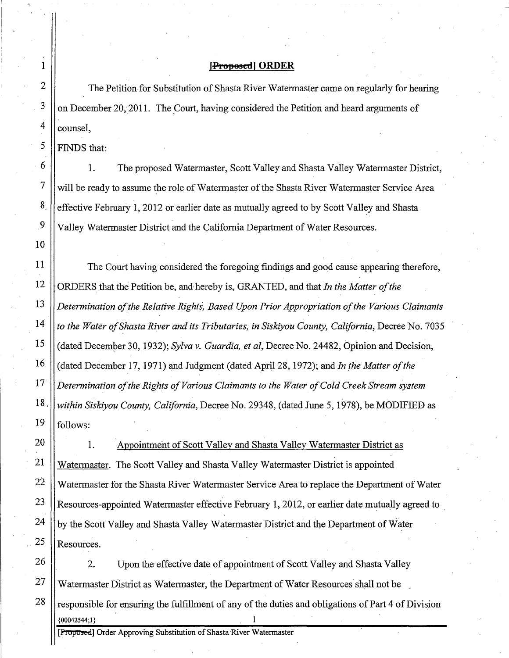### **[PI01'8sedl ORDER**

counsel, The Petition for Substitution of Shasta River Watermaster came on regularly for hearing on December 20, 2011. The Court, having considered the Petition and heard arguments of

FINDS that:

1. The proposed Watermaster, Scott Valley and Shasta Valley Watermaster District, will be ready to assume the role of Watermaster of the Shasta River Watermaster Service Area effective February 1,2012 or earlier date as mutually agreed to by Scott Valley and Shasta Valley Watermaster District and the California Department of Water Resources.

The Court having considered the foregoing findings and good cause appearing therefore, ORDERS that the Petition be, and hereby is, GRANTED, and that *In the. Matter ofthe Determination ofthe Relative Rights, Based Upon Prior Appropriation ofthe Various Claimants to the Water ofShasta River and its Tributaries, in Siskiyou County, California,* Decree No. 7035 (dated December 30, 1932); *Sylva* v. *Guardia, et aI,* Decree No. 24482, Opinion and Decision, (dated December 17, 1971) and Judgment (dated April 28, 1972); and *In the Matter ofthe Determination ofthe Rights ofVarious Claimants to the Water ofCold Creek Stream system 18, within Siskiyou County, California,* Decree No. 29348, (dated June 5, 1978), be MODIFIED as  $19$  || follows:

Watermaster. The Scott Valley and Shasta Valley Watermaster District is appointed Watermaster for the Shasta River Watermaster Service Area to replace the Department of Water Resources-appointed Watermaster effective February 1, 2012, or earlier date mutually agreed to by the Scott Valley and Shasta Valley Watermaster District and the Department of Water 1. Resources. Appointment of Scott Valley and Shasta Valley Watermaster District as

2. Upon the' effective date of appointment of Scott Valley and Shasta Valley 27 Watermaster District as Watermaster, the Department of Water Resources shall not be  $28$  responsible for ensuring the fulfillment of any of the duties and obligations of Part 4 of Division  $\{00042544;1\}$   $1$ 

[Proposed] Order Approving Substitution of Shasta River Watermaster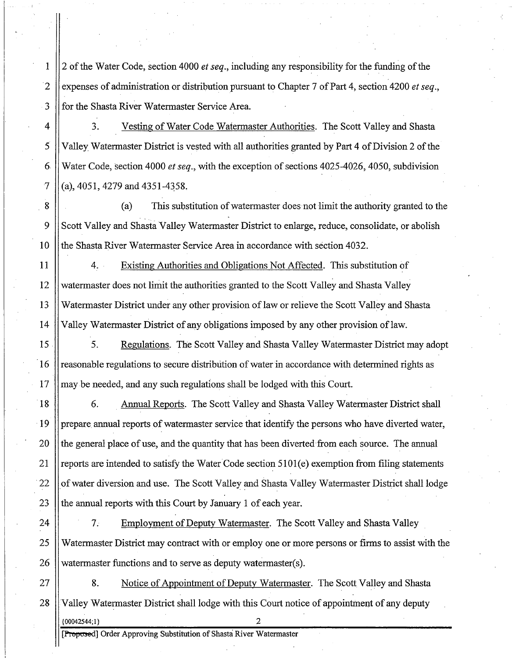1 2 ofthe Water Code, section 4000 *et seq.,* including any responsibility for the funding ofthe . . 2 expenses of administration or distribution pursuant to Chapter 7 of Part 4, section 4200 *et seq.*, 3 for the Shasta River Watermaster Service Area.

4 3. Vesting of Water Code Watermaster Authorities. The Scott Valley and Shasta 5 Valley Watermaster District is vested with all authorities granted by Part 4 of Division 2 of the 6 Water Code, section 4000 *et seq.*, with the exception of sections 4025-4026, 4050, subdivision 7  $\vert$  (a), 4051, 4279 and 4351-4358.

8 (a) This substitution of watermaster does not limit the authority granted to the 9 Scott Valley and Shasta Valley Watermaster District to enlarge, reduce, consolidate, or abolish 10 the Shasta River Watermaster Service Area in accordance with section 4032.

 4.. Existing Authorities and Obligations Not Affected. This substitution of watermaster does not limit the authorities granted to the Scott Valley and Shasta Valley Watermaster District under any other provision oflaw or relieve the Scott Valley and Shasta Valley Watermaster District of any obligations imposed by any other provision oflaw.

15 | S. Regulations. The Scott Valley and Shasta Valley Watermaster District may adopt 16 || reasonable regulations to secure distribution of water in accordance with determined rights as  $17$  || may be needed, and any such regulations shall be lodged with this Court.

18 | 6. Annual Reports. The Scott Valley and Shasta Valley Watermaster District shall 19 | prepare annual reports of watermaster service that identify the persons who have diverted water, 20 the general place of use, and the quantity that has been diverted from each source. The annual 21 || reports are intended to satisfy the Water Code section  $5101(e)$  exemption from filing statements 22  $\parallel$  of water diversion and use. The Scott Valley and Shasta Valley Watermaster District shall lodge 23  $\parallel$  the annual reports with this Court by January 1 of each year.

24 | T. Employment of Deputy Watermaster. The Scott Valley and Shasta Valley 25 Watermaster District may contract with or employ one or more persons or firms to assist with the 26 | watermaster functions and to serve as deputy watermaster(s).

27 | 8. Notice of Appointment of Deputy Watermaster. The Scott Valley and Shasta 28 Valley Watermaster District shall lodge with this Court notice of appointment of any deputy {00042544;1} 2

[Proposed] Order Approving Substitution of Shasta River Watermaster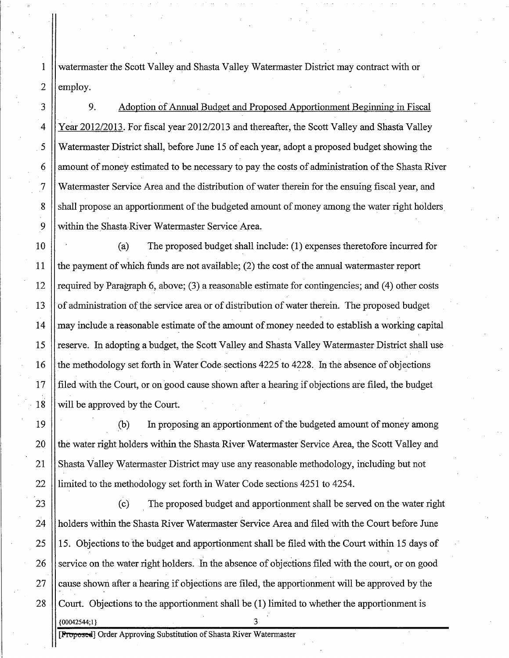1 watennaster the Scott Valley and Shasta Valley Watennaster District may contract with or 2  $\parallel$  employ.

3 9. Adoption of Annual Budget and Proposed Apportionment Beginning in Fiscal 4 Year 2012/2013. For fiscal year 2012/2013 and thereafter, the Scott Valley and Shasta Valley 5 Watennaster District shall, before June 15 of each year, adopt a proposed budget showing the  $6 \parallel$  amount of money estimated to be necessary to pay the costs of administration of the Shasta River 7 Watermaster Service Area and the distribution ofwater therein for the ensuing fiscal year, and 8 Shall propose an apportionment of the budgeted amount of money among the water right holders. 9 Within the Shasta River Watermaster Service Area.

10 (a) The proposed budget shall include: (1 ) expenses theretofore incurred for 11  $\parallel$  the payment of which funds are not available; (2) the cost of the annual watermaster report 12 | required by Paragraph 6, above; (3) a reasonable estimate for contingencies; and (4) other costs 13 | of administration of the service area or of distribution of water therein. The proposed budget 14  $\parallel$  may include a reasonable estimate of the amount of money needed to establish a working capital 15 || reserve. In adopting a budget, the Scott Valley and Shasta Valley Watermaster District shall use 16 the methodology set forth in Water Code sections 4225 to 4228. In the absence of objections 17 filed with the Court, or on good cause shown after a hearing if objections are filed, the budget 18 || will be approved by the Court.

19 (b) In proposing an apportionment of the budgeted amount of money among 20 || the water right holders within the Shasta River Watermaster Service Area, the Scott Valley and 21 Shasta Valley Watermaster District may use any reasonable methodology, including but not 22 limited to the methodology set forth in Water Code sections 4251 to 4254.

23 (c) The proposed budget and apportionment shall be served on the water right 24 | holders within the Shasta River Watermaster Service Area and filed with the Court before June 25  $\parallel$  15. Objections to the budget and apportionment shall be filed with the Court within 15 days of  $26$  | service on the water right holders. In the absence of objections filed with the court, or on good 27  $\parallel$  cause shown after a hearing if objections are filed, the apportionment will be approved by the 28 Court. Objections to the apportionment shall be (1) limited to whether the apportionment is  ${00042544;1}$ 

**[Froposce]** Order Approving Substitution of Shasta River Watermaster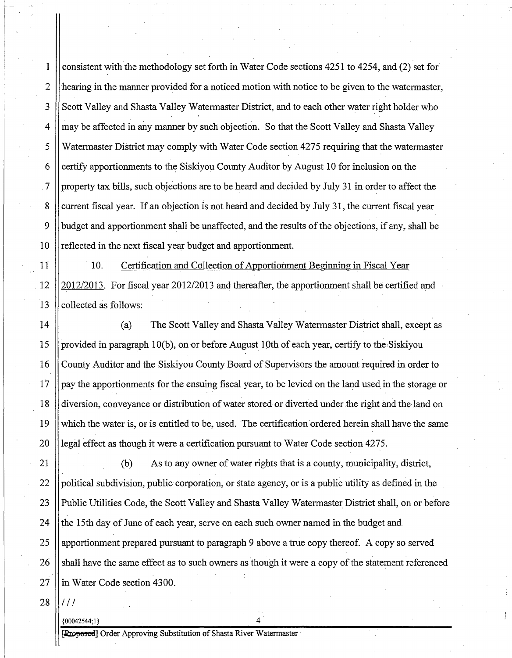1 consistent with'the methodology set forth in Water Code sections 4251 to 4254, and (2) set for' 2 hearing in the manner provided for a noticed motion with notice to be given to the watermaster, 3 Scott Valley and Shasta Valley Watermaster District, and to each other water right holder who 4 || may be affected in any manner by such objection. So that the Scott Valley and Shasta Valley 5 Watermaster District may comply with Water Code section 4275 requiring that the watermaster 6 certify apportionments to the Siskiyou County Auditor by August 10 for inclusion on the  $\sigma$ . 7 | property tax bills, such objections are to be heard and decided by July 31 in order to affect the 8 Current fiscal year. If an objection is not heard and decided by July 31, the current fiscal year 9 budget and apportionment shall be unaffected, and the results of the objections, if any, shall be 10 || reflected in the next fiscal year budget and apportionment.

11 | 10. Certification and Collection of Apportionment Beginning in Fiscal Year 12 2012/2013. For fiscal year 2012/2013 and thereafter, the apportionment shall be certified and  $13$  | collected as follows:

14 (a) The Scott Valley and Shasta Valley Watermaster District shall, except as 15 provided in paragraph 10(b), on or before August 10th of each year, certify to the Siskiyou 16 County Auditor and the Siskiyou County Board of Supervisors the amount required in order to 17 pay the apportionments for the ensuing fiscal year, to be levied on the land used in the storage or 18 diversion, conveyance or distribution of water stored or diverted under the right and the land on 19 Which the water is, or is entitled to be, used. The certification ordered herein shall have the same 20 | legal effect as though it were a certification pursuant to Water Code section  $4275$ .

21 (b) As to any owner ofwater rights that is a county, municipality, district, 22 political subdivision, public corporation, or state agency, or is a public utility as defined in the 23 || Public Utilities Code, the Scott Valley and Shasta Valley Watermaster District shall, on or before 24 the 15th day of June of each year, serve on each such owner named in the budget and 25  $\parallel$  apportionment prepared pursuant to paragraph 9 above a true copy thereof. A copy so served 26 Shall have the same effect as to such owners as though it were a copy of the statement referenced 27 lin Water Code section 4300.

 $28$   $1111$ 

{00042544;1} 4

[Proposed] Order Approving Substitution of Shasta River Watermaster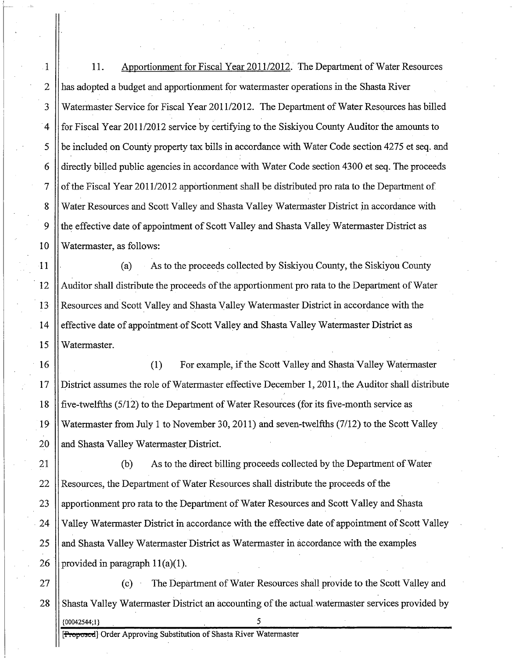1 11. Apportionment for Fiscal Year 2011/2012. The Department ofWater Resources 2 has adopted a budget and apportionment for watermaster operations in the Shasta River 3 Watermaster Service for Fiscal Year 2011/2012. The Department of Water Resources has billed 4 for Fiscal Year 2011/2012 service by certifying to the Siskiyou County Auditor the amounts to  $5 \parallel$  be included on County property tax bills in accordance with Water Code section 4275 et seq. and 6 directly billed public agencies in accordance with Water Code section 4300 et seq. The proceeds 7 of the Fiscal Year 2011/2012 apportionment shall be distributed pro rata to the Department of 8 Water Resources and Scott Valley and Shasta Valley Watermaster District in accordance with 9 the effective date of appointment of Scott Valley and Shasta Valley Watermaster District as 10 Watermaster, as follows:

11 (a) As to the proceeds collected by Siskiyou County, the Siskiyou County 12 Auditor shall distribute the proceeds of the apportionment pro rata to the Department of Water 13 Resources and' Scott Valley and Shasta Valley Watermaster District in accordance with the 14 effective date of appointment of Scott Valley and Shasta Valley Watermaster District as 15 Watermaster.

16 (1) For example, if the Scott Valley and Shasta Valley Watermaster 17 District assumes the role ofWatermaster effective December 1, 2011, the Auditor shall distribute 18 || five-twelfths (5/12) to the Department of Water Resources (for its five-month service as 19 Watermaster from July 1 to November 30,2011) and seven-twelfths (7/12) to the Scott Valley. 20 || and Shasta Valley Watermaster District.

21 (b) As to the direct billing proceeds collected by the Department of Water 22 Resources, the Department of Water Resources shall distribute the proceeds of the 23 || apportionment pro rata to the Department of Water Resources and Scott Valley and Shasta 24 | Valley Watermaster District in accordance with the effective date of appointment of Scott Valley 25 and Shasta Valley Watermaster District as Watermaster in accordance with the examples 26 | provided in paragraph  $11(a)(1)$ .

27 (c) The Department of Water Resources shall provide to the Scott Valley and 28 Shasta Valley Watermaster District an accounting of the actual watermaster services provided by {00042544;1}

[**Proposcd**] Order Approving Substitution of Shasta River Watermaster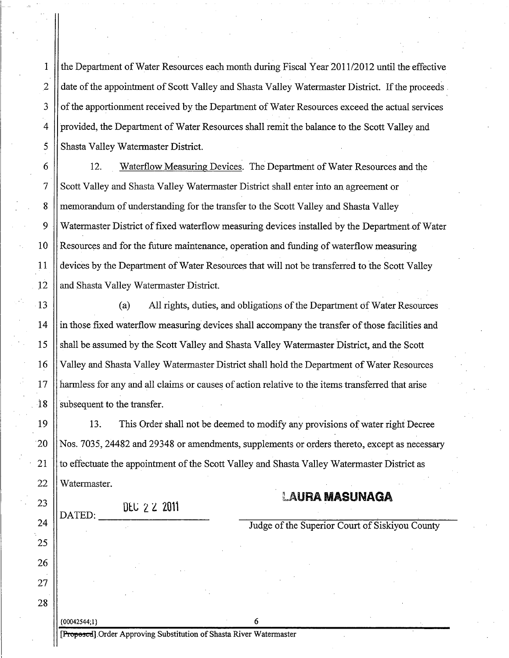1 the Department of Water Resources each month during Fiscal Year 2011/2012 until the effective 2 date of the appointment of Scott Valley and Shasta Valley Watermaster District. If the proceeds 3 | of the apportionment received by the Department of Water Resources exceed the actual services 4 | provided, the Department of Water Resources shall remit the balance to the Scott Valley and 5 Shasta Valley Watermaster District.

6 12. Waterflow Measuring Devices. The Department of Water Resources and the 7 Scott Valley and Shasta Valley Watermaster District shall enter into an agreement or 8 memorandum of understanding for the transfer to the Scott Valley and Shasta Valley 9 Watermaster District of fixed waterflow measuring devices installed by the Department of Water 10 Resources and for the future maintenance, operation and funding of waterflow measuring 11 devices by the Department ofWater Resources that will not be transferred to the Scott Valley l2 and Shasta Valley Watermaster District.

13 (a) All rights, duties, and obligations of the Department of Water Resources 14 in those fixed waterflow measuring devices shall accompany the transfer ofthose facilities and 15 Shall be assumed by the Scott Valley and Shasta Valley Watermaster District, and the Scott 16 || Valley and Shasta Valley Watermaster District shall hold the Department of Water Resources 17 harmless for any and all claims or causes of action relative to the items transferred that arise 18 Subsequent to the transfer.

19 13. This Order shall not be deemed to modify any provisions of water right Decree 20 Nos. 7035, 24482 and 29348 or amendments, supplements or orders thereto, except as necessary 21 It to effectuate the appointment of the Scott Valley and Shasta Valley Watermaster District as 22 Il Watermaster.

DEC 22 2011

# LAURA **MASUNAGA**

Judge of the Superior Court of Siskiyou County

[Proposed].Order Approving Substitution of Shasta River Watermaster

 ${600042544:1}$  6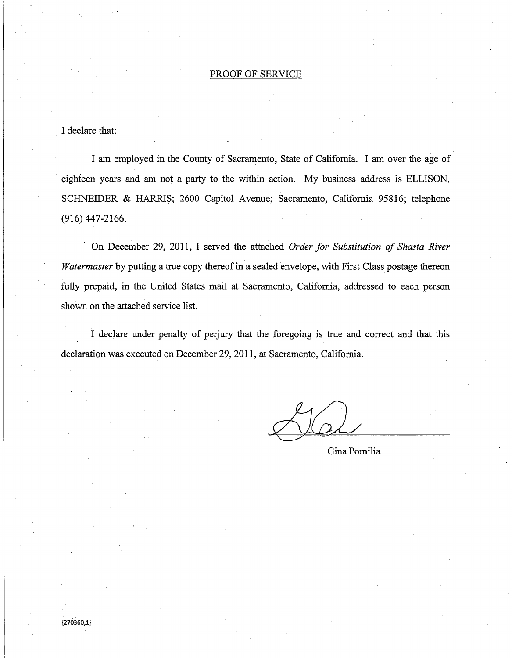## PROOF OF SERVICE

### I declare that:

I am employed in the County of Sacramento, State of California. I am over the age of eighteen years and am not a party to the within action. My business address is ELLISON, SCHNEIDER & HARRIS; 2600 Capitol Avenue; Sacramento, California 95816; telephone (916) 447-2166.

. On December 29, 2011, I served the attached *Order for Substitution of Shasta River Watermaster* by putting a true copy thereof in a sealed envelope, with First Class postage thereon fully prepaid, in the United States mail at Sacramento, California, addressed to each person shown on the attached service list.

I declare under penalty of perjury that the foregoing is true and correct and that this declaration was executed on December 29,2011, at Sacramento, California.

Gina Pomilia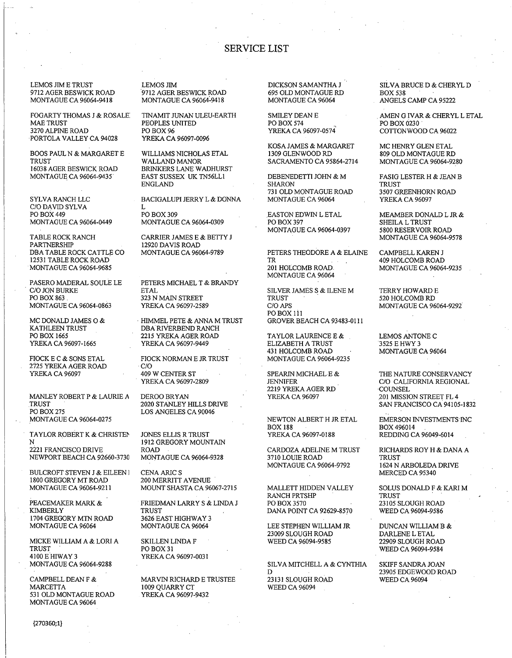### **SERVICE LIST**

LEMOS JIM E TRUST 9712 AGER BESWICK ROAD MONTAGUE CA 96064-9418

FOGARTY THOMAS J & ROSALE **MAE TRUST** 3270 ALPINE ROAD PORTOLA VALLEY CA 94028

**BOOS PAUL N & MARGARET E TRUST** 16038 AGER BESWICK ROAD MONTAGUE CA 96064-9435

SYLVA RANCH LLC C/O DAVID SYLVA PO BOX 449 **MONTAGUE CA 96064-0449** 

TABLE ROCK RANCH **PARTNERSHIP** DBA TABLE ROCK CATTLE CO 12531 TABLE ROCK ROAD MONTAGUE CA 96064-9685

PASERO MADERAL SOULE LE C/O JON BURKE PO BOX 863 MONTAGUE CA 96064-0863

MC DONALD JAMES O & KATHLEEN TRUST PO BOX 1665 YREKA CA 96097-1665

FIOCK E C & SONS ETAL 2725 YREKA AGER ROAD YREKA CA 96097

MANLEY ROBERT P & LAURIE A TRUST **PO BOX 275 MONTAGUE CA 96064-0275** 

TAYLOR ROBERT K & CHRISTEN  $\mathbf N$ 2221 FRANCISCO DRIVE NEWPORT BEACH CA 92660-3730

BULCROFT STEVEN J & EILEEN I 1800 GREGORY MT ROAD **MONTAGUE CA 96064-9211** 

PEACEMAKER MARK & **KIMBERLY** 1704 GREGORY MTN ROAD MONTAGUE CA 96064

MICKE WILLIAM A & LORI A **TRUST** 4100 E HIWAY 3 MONTAGUE CA 96064-9288

CAMPBELL DEAN F & **MARCETTA** 531 OLD MONTAGUE ROAD MONTAGUE CA 96064

**LEMOS JIM** 9712 AGER BESWICK ROAD MONTAGUE CA 96064-9418

TINAMIT JUNAN ULEU-EARTH PEOPLES UNITED PO BOX 96 YREKA CA 96097-0096

WILLIAMS NICHOLAS ETAL WALLAND MANOR BRINKERS LANE WADHURST EAST SUSSEX UK TN56LL1 ENGLAND

BACIGALUPI JERRY L & DONNA L

PO BOX 309 **MONTAGUE CA 96064-0309** 

CARRIER JAMES E & BETTY J 12920 DAVIS ROAD MONTAGUE CA 96064-9789

PETERS MICHAEL T & BRANDY **ETAL** 323 N MAIN STREET YREKA CA 96097-2589

HIMMEL PETE & ANNA M TRUST DBA RIVERBEND RANCH 2215 YREKA AGER ROAD YREKA CA 96097-9449

FIOCK NORMAN E JR TRUST  $C/O$ 409 W CENTER ST YREKA CA 96097-2809

DEROO BRYAN 2020 STANLEY HILLS DRIVE LOS ANGELES CA 90046

JONES ELLIS R TRUST 1912 GREGORY MOUNTAIN **ROAD** MONTAGUE CA 96064-9328

**CENA ARIC S** 200 MERRITT AVENUE MOUNT SHASTA CA 96067-2715

FRIEDMAN LARRY S & LINDA J **TRUST** 3626 EAST HIGHWAY 3 MONTAGUE CA 96064

SKILLEN LINDA F PO BOX 31 YREKA CA 96097-0031

MARVIN RICHARD E TRUSTEE 1009 QUARRY CT YREKA CA 96097-9432

DICKSON SAMANTHA J 695 OLD MONTAGUE RD MONTAGUE CA 96064

SMILEY DEAN E PO BOX 574 YREKA CA 96097-0574

KOSA JAMES & MARGARET 1309 GLENWOOD RD SACRAMENTO CA 95864-2714

DEBENEDETTI JOHN & M **SHARON** 731 OLD MONTAGUE ROAD MONTAGUE CA 96064

**EASTON EDWIN L ETAL** PO BOX 397 MONTAGUE CA 96064-0397

PETERS THEODORE A & ELAINE TR 201 HOLCOMB ROAD. MONTAGUE CA 96064

SILVER JAMES S & ILENE M TRUST C/O APS PO BOX 111 **GROVER BEACH CA 93483-0111** 

TAYLOR LAURENCE E & ELIZABETH A TRUST 431 HOLCOMB ROAD **MONTAGUE CA 96064-9235** 

SPEARIN MICHAEL E & **JENNIFER** 2219 YREKA AGER RD YREKA CA 96097

NEWTON ALBERT H JR ETAL **BOX 188** YREKA CA 96097-0188

CARDOZA ADELINE M TRUST 3710 LOUIE ROAD **MONTAGUE CA 96064-9792** 

MALLETT HIDDEN VALLEY RANCH PRTSHP PO BOX 3570 DANA POINT CA 92629-8570

LEE STEPHEN WILLIAM JR 23009 SLOUGH ROAD WEED CA 96094-9585

SILVA MITCHELL A & CYNTHIA D 23131 SLOUGH ROAD **WEED CA 96094** 

SILVA BRUCE D & CHERYL D **BOX 538** ANGELS CAMP CA 95222

AMEN G IVAR & CHERYL L ETAL PO BOX 0230 COTTONWOOD CA 96022

MC HENRY GLEN ETAL 809 OLD MONTAGUE RD MONTAGUE CA 96064-9280

**FASIG LESTER H & JEAN B TRUST** 3507 GREENHORN ROAD YREKA CA 96097

MEAMBER DONALD L JR & SHEILA L TRUST 5800 RESERVOIR ROAD **MONTAGUE CA 96064-9578** 

CAMPBELL KAREN J 409 HOLCOMB ROAD **MONTAGUE CA 96064-9235** 

**TERRY HOWARD E** 520 HOLCOMB RD MONTAGUE CA 96064-9292

LEMOS ANTONE C 3525 E HWY 3 MONTAGUE CA 96064

THE NATURE CONSERVANCY C/O CALIFORNIA REGIONAL COUNSEL 201 MISSION STREET FL 4 SAN FRANCISCO CA 94105-1832

EMERSON INVESTMENTS INC BOX 496014 REDDING CA 96049-6014

RICHARDS ROY H & DANA A **TRUST** 1624 N ARBOLEDA DRIVE MERCED CA 95340

SOLUS DONALD F & KARI M **TRUST** 23105 SLOUGH ROAD WEED CA 96094-9586

DUNCAN WILLIAM B  $\&$ DARLENE L ETAL 22909 SLOUGH ROAD WEED CA 96094-9584

**SKIFF SANDRA JOAN** 23905 EDGEWOOD ROAD **WEED CA 96094**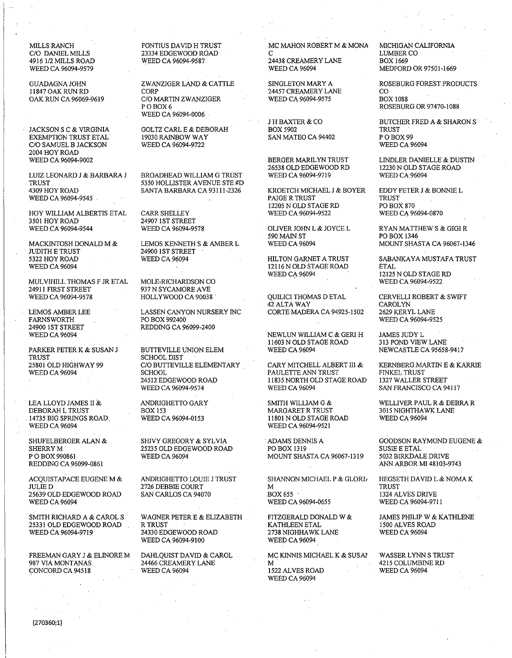4916 1/2 MILLS ROAD WEED CA 96094-9587. 24438 CREAMERY LANE WEED CA 96094-9587.

EXEMPTION TRUST ETAL 19030 RAINBOW WAY SAN MATEO CA 94402 PO BOX 99<br>C/O SAMUEL B JACKSON WEED CA 96094-9722 WEED CA 96094 C/O SAMUEL B JACKSON 2004 HOY ROAD

HOY WILLIAM ALBERTIS ETAL CARR SHELLEY 3501 HOY ROAD 24907 1ST STREE 3501 HOY ROAD 24907 1ST STREET<br>WEED CA 96094-9544 WEED CA 96094-9578

MACKINTOSH DONALD M & LEMOS KENNETH S & AMBER L JUDITH E TRUST  $249001$  ST STREET JUDITH E TRUST<br>
5322 HOY ROAD<br>
WEED CA 96094

 $\begin{array}{ll}\text{MULVIHILL THOMAS F JR ETAL} & \text{MOLE-RICHARDSON CO} \\ \text{24911 FIRST STREET} & \text{937 N SYCAMORE AVE} \end{array}$ 24911 FIRST STREET<br>
WEED CA 96094-9578<br>
HOLLYWOOD CA 90038

24900 1ST STREET REDDING CA 96099-2400<br>WEED CA 96094

TRUST SCHOOLDIST

14735 BIG SPRINGS ROAD.<br>WEED CA 96094

P O BOX 990861 WEED CA 96094 MOUNT SHASTA CA 96067-1319<br>REDDING CA 96099-0861

SMITH RICHARD A & CAROL S WAGNER PETER E & ELIZABETH FITZGERALD DONALD W & SAMES PHILIP W & KATHLENE 25331 OLD EDGEWOOD ROAD RTRUST 25331 OLD EDGEWOOD ROAD RIRUST NEXT KATHLEEN ETAL 1500 ALVES ROAD WEED CA 96094-9719 24330 EDGEWOOD ROAD 2738 NIGHHAWK LANE WEED CA 96094

FREEMAN GARY J & ELINORE M DAHLQUIST DAVID & CAROL MC KINNIS MICHAEL K & SUSAI WASSER LYNN S TRUST <br />
987 VIA MONTANAS <br />
4215 COLUMBINE RD CONCORD CA 94518

C/O DANIEL MILLS 23334 EDGEWOOD ROAD C LUMBER CO

11847 OAK RUN RD CORP 24457 CREAMERY LANE CO C/O MARTIN ZWANZIGER<br>P O BOX 6 WEED CA 96094-0006

JACKSON S C & VIRGINIA GOLTZ CARL E & DEBORAH BOX 5902 TRUST

LUIZ LEONARD J & BARBARA J BROADHEAD WILLIAM G TRUST WEED CA 96094-9719 WEED CA 96094<br>TRUST 5350 HOLLISTER AVENUE STE #D TRUST 5350 HOLLISTER AVENUE STE #D

LEMOS AMBER LEE LASSEN CANYON NURSERY INC<br>FARNSWORTH PO BOX 992400 FARNSWORTH PO BOX 992400 WEED CA 96094-9525

PARKER PETER K & SUSAN J BUTTEVILLE UNION ELEM TRUST 25801 OLD HIGHWAY 99 C/O BUTTEVILLE ELEMENTARY CARY MITCHELL ALBERT III & KERNBERG.MARTIN E & KARRIE WEED CA 96094

ACQUISTAPACE EUGENE M & ANDRIGHETTO LOUIE J TRUST SHANNON MICHAEL P & GLORI, HEGSETH DAVID L &NOMA K

24330 EDGEWOOD ROAD 2738 NIGHHAWI 2253 NEED CA 96094 WEED CA 96094-9100

MILLS RANCH FONTIUS DAVID H TRUST MC MAHON ROBERT M & MONA MICHIGAN CALIFORNIA<br>C/O DANIEL MILLS 23334 EDGEWOOD ROAD C

26538 OLD EDGEWOOD RD<br>WEED CA 96094-9719

43099 SANTA BARBARA CA 93111-2326 KROETCH MICHAEL J & BOYER EDDY PETER J & BONNIE L WEED CA 96094-9545 . TRUST TRUST PAIGE R TRUST TRUST TRUST TRUST TRUST TRUST TRUST TRUST TRUST PO BOX 870 12205 N OLD STAGE RD PO BOX 870<br>WEED CA 96094-9522 WEED CA 96094-0870

 $12116$ N OLD STAGE ROAD WEED CA  $96094$ 

QUILICI THOMAS DETAL CERVELLI ROBERT & SWIFT 42 ALTA WAY CAROLYN CAROLYN<br>CORTE MADERA CA 94925-1502 2629 KERYL LANE

NEWLUN WILLIAM C & GERI H JAMES JUDY L<br>11603 N OLD STAGE ROAD 313 POND VIEW LANE 11603 N OLD STAGE ROAD 313 POND VIEW LANE<br>WEED CA 96094 NEWCASTLE CA 95658-9417

WEED CA 96094 SCHOOL PAULETTE ANN TRUST FINKEL TRUST 24512 EDGEWOOD ROAD 11835 NORTH OLD STAGE ROAD WEED CA 96094

DEBORAH L TRUST BOX 153 MARGARET R TRUST 3015 NIGHTHAWK LANE WEED CA 96094-9521

SHERRYM 25235 OLD EDGEWOOD ROAD POBOX 1319 SUSIEEETAL

JULIED 2726 DEBBIE COURT M TRUST 25639 OLD EDGEWOOD ROAD SAN CARLOS CA 94070 BOX655 . 1324 ALVES DRIVE WEED CA 96094-0655

24466 CREAMERY LANE M 4215 COLUMBIN<br>WEED CA 96094 1522 ALVES ROAD WEED CA 96094 WEED CA 96094

MEDFORD OR 97501-1669

GUADAGNAJOHN ZWANZIGER LAND & CATTLE SINGLETON MARY A ROSEBURG FOREST PRODUCTS ROSEBURG OR 97470-1088

J H BAXTER & CO BUTCHER FRED A & SHARON S<br>BOX 5902 TRUST

BERGER MARILYN TRUST LINDLER DANIELLE & DUSTIN<br>26538 OLD EDGEWOOD RD l2230 N OLD STAGE ROAD

OLIVER JOHN L & JOYCE L RYAN MATTHEW S & GIGI R<br>590 MAIN ST **PO BOX 1346** 590 MAIN ST POBOX 1346

5322 HOY ROAD WEED CA 96094 HILTON GARNET A TRUST SABANKAYAMUSTAFA TRUST 12125 N OLD STAGE RD<br>WEED CA 96094-9522

SAN FRANCISCO CA 94117

LEA LLOYD JAMES II & ANDRIGHETTO GARY SMITH WILLIAM G & WELLIVER PAUL R & DEBRA R DEBORAH L TRUST BOX 153 MARGARET R TRUST 3015 NIGHTHAWK LANE

SHUFELBERGER ALAN & SHIVY GREGORY & SYLVIA . ADAMS DENNIS A GOODSON RAYMOND EUGENE & SHERRY M 3139 . ADAMS DENNIS A SUSIE E ETAL ANN ARBOR MI 48103-9743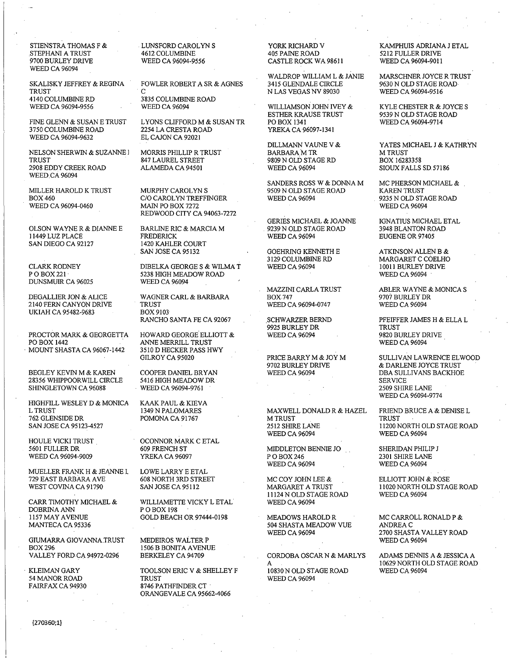STIENSTRA THOMAS F & STEPHANI A TRUST 9700 BURLEY DRIVE **WEED CA 96094** 

SKALISKY JEFFREY & REGINA **TRUST** 4140 COLUMBINE RD WEED CA 96094-9556

FINE GLENN & SUSAN E TRUST 3750 COLUMBINE ROAD WEED CA 96094-9632

NELSON SHERWIN & SUZANNE I **TRUST** 2908 EDDY CREEK ROAD **WEED CA 96094** 

MILLER HAROLD K TRUST **BOX 460** WEED CA 96094-0460

OLSON WAYNE R & DIANNE E 11449 LUZ PLACE SAN DIEGO CA 92127

**CLARK RODNEY** P O BOX 221 **DUNSMUIR CA 96025** 

DEGALLIER JON & ALICE 2140 FERN CANYON DRIVE UKIAH CA 95482-9683

PROCTOR MARK & GEORGETTA PO BOX 1442 MOUNT SHASTA CA 96067-1442

BEGLEY KEVIN M & KAREN 28356 WHIPPOORWILL CIRCLE SHINGLETOWN CA 96088

HIGHFILL WESLEY D & MONICA **L TRUST** 762 GLENSIDE DR SAN JOSE CA 95123-4527

HOULE VICKI TRUST 5601 FULLER DR WEED CA 96094-9009

MUELLER FRANK H & JEANNE L 729 EAST BARBARA AVE WEST COVINA CA 91790

CARR TIMOTHY MICHAEL & **DOBRINA ANN** 1157 MAY AVENUE MANTECA CA 95336

GIUMARRA GIOVANNA TRUST **BOX 296** VALLEY FORD CA 94972-0296

**KLEIMAN GARY** 54 MANOR ROAD FAIRFAX CA 94930 LUNSFORD CAROLYN S 4612 COLUMBINE WEED CA 96094-9556

FOWLER ROBERT A SR & AGNES  $\mathbf C$ 

3835 COLUMBINE ROAD **WEED CA 96094** 

LYONS CLIFFORD M & SUSAN TR 2254 LA CRESTA ROAD EL CAJON CA 92021

MORRIS PHILLIP R TRUST 847 LAUREL STREET ALAMEDA CA 94501

MURPHY CAROLYN S C/O CAROLYN TREFFINGER MAIN PO BOX 7272 REDWOOD CITY CA 94063-7272

**BARLINE RIC & MARCIA M FREDERICK** 1420 KAHLER COURT SAN JOSE CA 95132

DIBELKA GEORGE S & WILMA T 5238 HIGH MEADOW ROAD **WEED CA 96094** 

WAGNER CARL & BARBARA **TRUST BOX 9103** RANCHO SANTA FE CA 92067

HOWARD GEORGE ELLIOTT & ANNE MERRILL TRUST 3510 D HECKER PASS HWY GILROY CA 95020

COOPER DANIEL BRYAN 5416 HIGH MEADOW DR WEED CA 96094-9761

KAAK PAUL & KIEVA 1349 N PALOMARES POMONA CA 91767

OCONNOR MARK C ETAL 609 FRENCH ST YREKA CA 96097

LOWE LARRY E ETAL 608 NORTH 3RD STREET SAN JOSE CA 95112

WILLIAMETTE VICKY L ETAL POBOX 198 GOLD BEACH OR 97444-0198

MEDEIROS WALTER P 1506 B BONITA AVENUE **BERKELEY CA 94709** 

TOOLSON ERIC V & SHELLEY F **TRUST** 8746 PATHFINDER CT ORANGEVALE CA 95662-4066

YORK RICHARD V **405 PAINE ROAD** CASTLE ROCK WA 98611

WALDROP WILLIAM L & JANIE 3415 GLENDALE CIRCLE N LAS VEGAS NV 89030

WILLIAMSON JOHN IVEY & **ESTHER KRAUSE TRUST** PO BOX 1341 YREKA CA 96097-1341

DILLMANN VAUNE V & **BARBARA M TR** 9809 N OLD STAGE RD **WEED CA 96094** 

SANDERS ROSS W & DONNA M 9509 N OLD STAGE ROAD **WEED CA 96094** 

GERIES MICHAEL & JOANNE 9239 N OLD STAGE ROAD **WEED CA 96094** 

GOEHRING KENNETH E 3129 COLUMBINE RD **WEED CA 96094** 

MAZZINI CARLA TRUST **BOX 747** WEED CA 96094-0747

SCHWARZER BERND 9925 BURLEY DR **WEED CA 96094** 

PRICE BARRY M & JOY M 9702 BURLEY DRIVE **WEED CA 96094** 

MAXWELL DONALD R & HAZEL **M TRUST** 2512 SHIRE LANE **WEED CA 96094** 

MIDDLETON BENNIE JO POBOX 246 **WEED CA 96094** 

MC COY JOHN LEE & MARGARET A TRUST 11124 N OLD STAGE ROAD **WEED CA 96094** 

MEADOWS HAROLD R 504 SHASTA MEADOW VUE **WEED CA 96094** 

CORDOBA OSCAR N & MARLYS

10830 N OLD STAGE ROAD WEED CA 96094

KAMPHUIS ADRIANA J ETAL 5212 FULLER DRIVE WEED CA 96094-9011

MARSCHNER JOYCE R TRUST 9630 N OLD STAGE ROAD-WEED CA 96094-9516

KYLE CHESTER R & JOYCE S 9539 N OLD STAGE ROAD WEED CA 96094-9714

YATES MICHAEL J & KATHRYN **M TRUST** BOX 16283358 SIOUX FALLS SD 57186

MC PHERSON MICHAEL & **KAREN TRUST** 9235 N OLD STAGE ROAD **WEED CA 96094** 

IGNATIUS MICHAEL ETAL 3948 BLANTON ROAD EUGENE OR 97405

ATKINSON ALLEN B & MARGARET C COELHO 10011 BURLEY DRIVE **WEED CA 96094** 

ABLER WAYNE & MONICA S 9707 BURLEY DR **WEED CA 96094** 

PFEIFFER JAMES H & ELLA L **TRUST** 9820 BURLEY DRIVE **WEED CA 96094** 

SULLIVAN LAWRENCE ELWOOD & DARLENE JOYCE TRUST DBA SULLIVANS BACKHOE **SERVICE** 2509 SHIRE LANE WEED CA 96094-9774

FRIEND BRUCE A & DENISE L **TRUST** 11200 NORTH OLD STAGE ROAD **WEED CA 96094** 

SHERIDAN PHILIP J 2301 SHIRE LANE **WEED CA 96094** 

ELLIOTT JOHN & ROSE 11020 NORTH OLD STAGE ROAD **WEED CA 96094** 

MC CARROLL RONALD P & ANDREA C 2700 SHASTA VALLEY ROAD **WEED CA 96094** 

ADAMS DENNIS A & JESSICA A 10629 NORTH OLD STAGE ROAD **WEED CA 96094**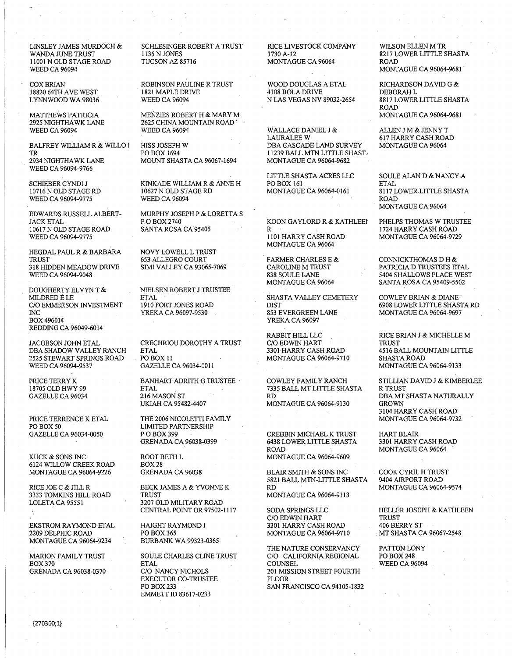LINSLEY JAMES MURDOCH & WANDA JUNE TRUST 11001 N OLD STAGE ROAD **WEED CA 96094** 

**COX BRIAN** 18820 64TH AVE WEST LYNNWOOD WA 98036

**MATTHEWS PATRICIA** 2925 NIGHTHAWK LANE **WEED CA 96094** 

BALFREY WILLIAM R & WILLO I TR 2934 NIGHTHAWK LANE WEED CA 96094-9766

SCHIEBER CYNDI J 10716 N OLD STAGE RD WEED CA 96094-9775

EDWARDS RUSSELL ALBERT-**JACK ETAL** 10617 N OLD STAGE ROAD WEED CA 96094-9775

HEGDAL PAUL R & BARBARA **TRUST** 318 HIDDEN MEADOW DRIVE WEED CA 96094-9048

DOUGHERTY ELVYN T & MILDRED $\acute{\mathrm{E}}$  LE C/O EMMERSON INVESTMENT  $\overline{\text{NC}}$ BOX 496014 REDDING CA 96049-6014

JACOBSON JOHN ETAL DBA SHADOW VALLEY RANCH 2525 STEWART SPRINGS ROAD WEED CA 96094-9537

PRICE TERRY K 18705 OLD HWY 99 GAZELLE CA 96034

PRICE TERRENCE K ETAL PO BOX 50 GAZELLE CA 96034-0050

KUCK & SONS INC 6124 WILLOW CREEK ROAD MONTAGUE CA 96064-9226

RICE JOE C & JILL R 3333 TOMKINS HILL ROAD LOLETA CA 95551

EKSTROM RAYMOND ETAL 2209 DELPHIC ROAD MONTAGUE CA 96064-9234

MARION FAMILY TRUST **BOX 370 GRENADA CA 96038-0370**  SCHLESINGER ROBERT A TRUST 1135 N JONES **TUCSON AZ 85716** 

ROBINSON PAULINE R TRUST 1821 MAPLE DRIVE **WEED CA 96094** 

MENZIES ROBERT H & MARY M 2625 CHINA MOUNTAIN ROAD **WEED CA 96094** 

HISS JOSEPH W PO BOX 1694 MOUNT SHASTA CA 96067-1694

KINKADE WILLIAM R & ANNE H 10627 N OLD STAGE RD **WEED CA 96094** 

MURPHY JOSEPH P & LORETTA S P.O BOX 2740 SANTA ROSA CA 95405

NOVY LOWELL L TRUST 653 ALLEGRO COURT SIMI VALLEY CA 93065-7069

NIELSEN ROBERT J TRUSTEE **ETAL** 1910 FORT JONES ROAD YREKA CA 96097-9530

CRECHRIOU DOROTHY A TRUST **ETAL** PO BOX 11 GAZELLE CA 96034-0011

BANHART ADRITH G TRUSTEE **ETAL** 216 MASON ST UKIAH CA 95482-4407

THE 2006 NICOLETTI FAMILY **LIMITED PARTNERSHIP** P O BOX 399 GRENADA CA 96038-0399

ROOT BETH L **BOX 28** GRENADA CA 96038

BECK JAMES A & YVONNE K **TRUST** 3207 OLD MILITARY ROAD CENTRAL POINT OR 97502-1117

HAIGHT RAYMOND I PO BOX 365 **BURBANK WA 99323-0365** 

SOULE CHARLES CLINE TRUST **ETAL** C/O NANCY NICHOLS **EXECUTOR CO-TRUSTEE** PO BOX 233 EMMETT ID 83617-0233

RICE LIVESTOCK COMPANY 1730 A-12 MONTAGUE CA 96064

WOOD DOUGLAS A ETAL 4108 BOLA DRIVE N LAS VEGAS NV 89032-2654

WALLACE DANIEL J & **LAURALEE W** DBA CASCADE LAND SURVEY 11239 BALL MTN LITTLE SHAST. **MONTAGUE CA 96064-9682** 

LITTLE SHASTA ACRES LLC PO BOX 161 MONTAGUE CA 96064-0161

KOON GAYLORD R & KATHLEEI  $\mathsf{R}$ 1101 HARRY CASH ROAD MONTAGUE CA 96064

**FARMER CHARLES E & CAROLINE M TRUST** 838 SOULE LANE MONTAGUE CA 96064

SHASTA VALLEY CEMETERY **DIST** 853 EVERGREEN LANE YREKA CA 96097

RABBIT HILL LLC C/O EDWIN HART 3301 HARRY CASH ROAD MONTAGUE CA 96064-9710

COWLEY FAMILY RANCH 7335 BALL MT LITTLE SHASTA **RD** MONTAGUE CA 96064-9130

CREBBIN MICHAEL K TRUST **6438 LOWER LITTLE SHASTA ROAD** MONTAGUE CA 96064-9609

BLAIR SMITH & SONS INC 5821 BALL MTN-LITTLE SHASTA **RD MONTAGUE CA 96064-9113** 

SODA SPRINGS LLC C/O EDWIN HART 3301 HARRY CASH ROAD MONTAGUE CA 96064-9710

THE NATURE CONSERVANCY C/O CALIFORNIA REGIONAL **COUNSEL** 201 MISSION STREET FOURTH FLOOR SAN FRANCISCO CA 94105-1832

WILSON ELLEN M TR 8217 LOWER LITTLE SHASTA **ROAD MONTAGUE CA 96064-9681** 

RICHARDSON DAVID G & DEBORAH L 8817 LOWER LITTLE SHASTA **ROAD MONTAGUE CA 96064-9681** 

ALLEN J M & JENNY T 617 HARRY CASH ROAD MONTAGUE CA 96064

SOULE ALAN D & NANCY A **ETAL** 8117 LOWER LITTLE SHASTA **ROAD** MONTAGUE CA 96064

PHELPS THOMAS W TRUSTEE 1724 HARRY CASH ROAD **MONTAGUE CA 96064-9729** 

CONNICKTHOMAS D H & PATRICIA D TRUSTEES ETAL 5404 SHALLOWS PLACE WEST SANTA ROSA CA 95409-5502

**COWLEY BRIAN & DIANE** 6908 LOWER LITTLE SHASTA RD MONTAGUE CA 96064-9697

RICE BRIAN J & MICHELLE M **TRUST** 4516 BALL MOUNTAIN LITTLE SHASTA ROAD MONTAGUE CA 96064-9133

STILLIAN DAVID J & KIMBERLEE **R TRUST** DBA MT SHASTA NATURALLY **GROWN** 3104 HARRY CASH ROAD MONTAGUE CA 96064-9732

HART BLAIR 3301 HARRY CASH ROAD MONTAGUE CA 96064

COOK CYRIL H TRUST 9404 AIRPORT ROAD MONTAGUE CA 96064-9574

HELLER JOSEPH & KATHLEEN TRUST 406 BERRY ST MT SHASTA CA 96067-2548

PATTON LONY **PO BOX 248 WEED CA 96094**